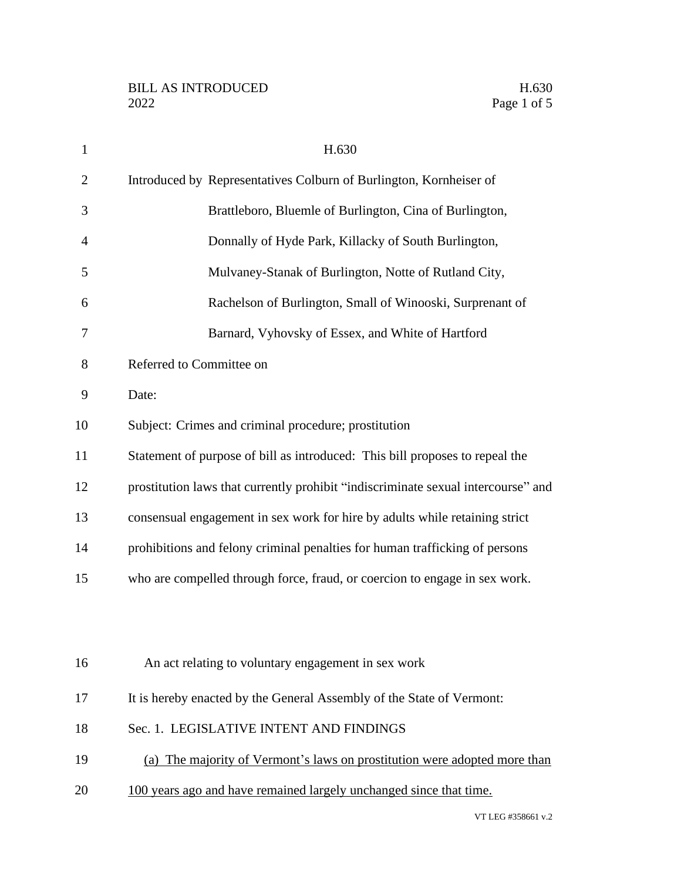| $\mathbf{1}$   | H.630                                                                             |
|----------------|-----------------------------------------------------------------------------------|
| $\overline{2}$ | Introduced by Representatives Colburn of Burlington, Kornheiser of                |
| 3              | Brattleboro, Bluemle of Burlington, Cina of Burlington,                           |
| $\overline{4}$ | Donnally of Hyde Park, Killacky of South Burlington,                              |
| 5              | Mulvaney-Stanak of Burlington, Notte of Rutland City,                             |
| 6              | Rachelson of Burlington, Small of Winooski, Surprenant of                         |
| 7              | Barnard, Vyhovsky of Essex, and White of Hartford                                 |
| 8              | Referred to Committee on                                                          |
| 9              | Date:                                                                             |
| 10             | Subject: Crimes and criminal procedure; prostitution                              |
| 11             | Statement of purpose of bill as introduced: This bill proposes to repeal the      |
| 12             | prostitution laws that currently prohibit "indiscriminate sexual intercourse" and |
| 13             | consensual engagement in sex work for hire by adults while retaining strict       |
| 14             | prohibitions and felony criminal penalties for human trafficking of persons       |
| 15             | who are compelled through force, fraud, or coercion to engage in sex work.        |
|                |                                                                                   |
|                |                                                                                   |
| 16             | An act relating to voluntary engagement in sex work                               |
| 17             | It is hereby enacted by the General Assembly of the State of Vermont:             |
| 18             | Sec. 1. LEGISLATIVE INTENT AND FINDINGS                                           |
| 19             | (a) The majority of Vermont's laws on prostitution were adopted more than         |
| 20             | 100 years ago and have remained largely unchanged since that time.                |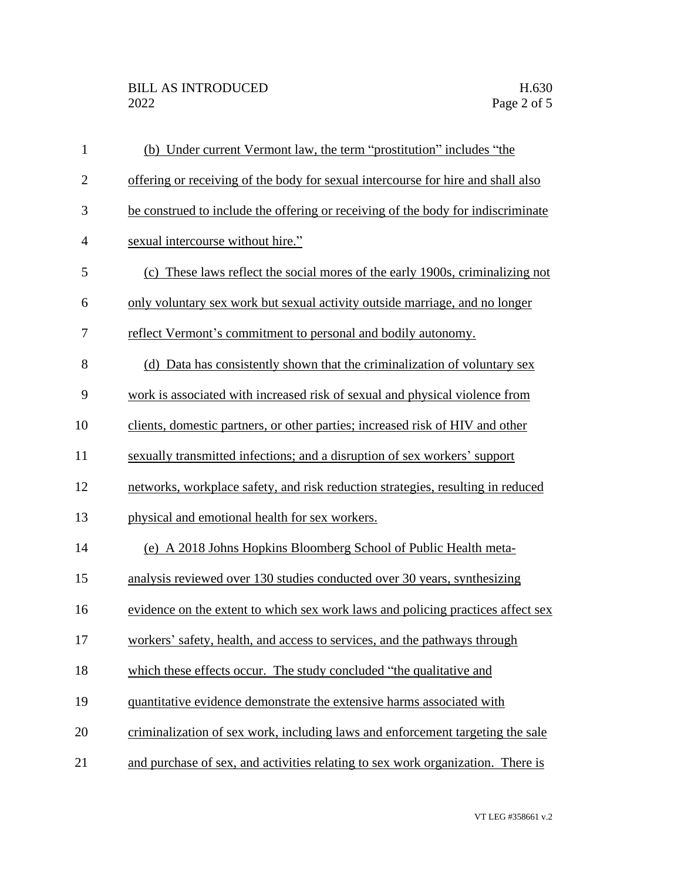| $\mathbf{1}$   | (b) Under current Vermont law, the term "prostitution" includes "the             |
|----------------|----------------------------------------------------------------------------------|
| $\mathbf{2}$   | offering or receiving of the body for sexual intercourse for hire and shall also |
| 3              | be construed to include the offering or receiving of the body for indiscriminate |
| $\overline{4}$ | sexual intercourse without hire."                                                |
| 5              | (c) These laws reflect the social mores of the early 1900s, criminalizing not    |
| 6              | only voluntary sex work but sexual activity outside marriage, and no longer      |
| 7              | reflect Vermont's commitment to personal and bodily autonomy.                    |
| 8              | (d) Data has consistently shown that the criminalization of voluntary sex        |
| 9              | work is associated with increased risk of sexual and physical violence from      |
| 10             | clients, domestic partners, or other parties; increased risk of HIV and other    |
| 11             | sexually transmitted infections; and a disruption of sex workers' support        |
| 12             | networks, workplace safety, and risk reduction strategies, resulting in reduced  |
| 13             | physical and emotional health for sex workers.                                   |
| 14             | (e) A 2018 Johns Hopkins Bloomberg School of Public Health meta-                 |
| 15             | analysis reviewed over 130 studies conducted over 30 years, synthesizing         |
| 16             | evidence on the extent to which sex work laws and policing practices affect sex  |
| 17             | workers' safety, health, and access to services, and the pathways through        |
| 18             | which these effects occur. The study concluded "the qualitative and              |
| 19             | quantitative evidence demonstrate the extensive harms associated with            |
| 20             | criminalization of sex work, including laws and enforcement targeting the sale   |
| 21             | and purchase of sex, and activities relating to sex work organization. There is  |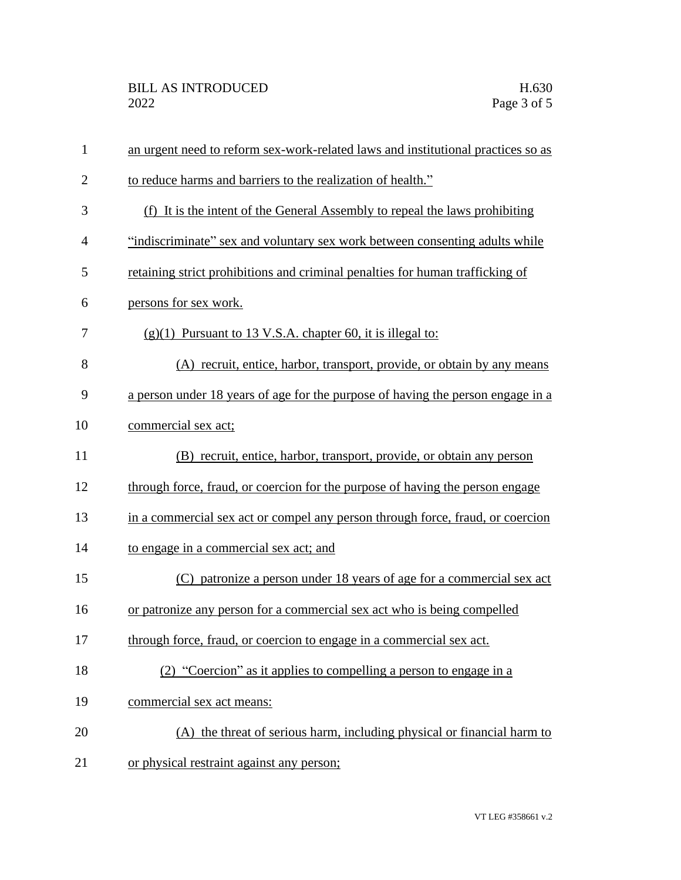| $\mathbf{1}$   | an urgent need to reform sex-work-related laws and institutional practices so as |
|----------------|----------------------------------------------------------------------------------|
| $\overline{2}$ | to reduce harms and barriers to the realization of health."                      |
| 3              | (f) It is the intent of the General Assembly to repeal the laws prohibiting      |
| $\overline{4}$ | "indiscriminate" sex and voluntary sex work between consenting adults while      |
| 5              | retaining strict prohibitions and criminal penalties for human trafficking of    |
| 6              | persons for sex work.                                                            |
| 7              | $(g)(1)$ Pursuant to 13 V.S.A. chapter 60, it is illegal to:                     |
| 8              | (A) recruit, entice, harbor, transport, provide, or obtain by any means          |
| 9              | a person under 18 years of age for the purpose of having the person engage in a  |
| 10             | commercial sex act;                                                              |
| 11             | (B) recruit, entice, harbor, transport, provide, or obtain any person            |
| 12             | through force, fraud, or coercion for the purpose of having the person engage    |
| 13             | in a commercial sex act or compel any person through force, fraud, or coercion   |
| 14             | to engage in a commercial sex act; and                                           |
| 15             | (C) patronize a person under 18 years of age for a commercial sex act            |
| 16             | or patronize any person for a commercial sex act who is being compelled          |
| 17             | through force, fraud, or coercion to engage in a commercial sex act.             |
| 18             | (2) "Coercion" as it applies to compelling a person to engage in a               |
| 19             | commercial sex act means:                                                        |
| 20             | (A) the threat of serious harm, including physical or financial harm to          |
| 21             | or physical restraint against any person;                                        |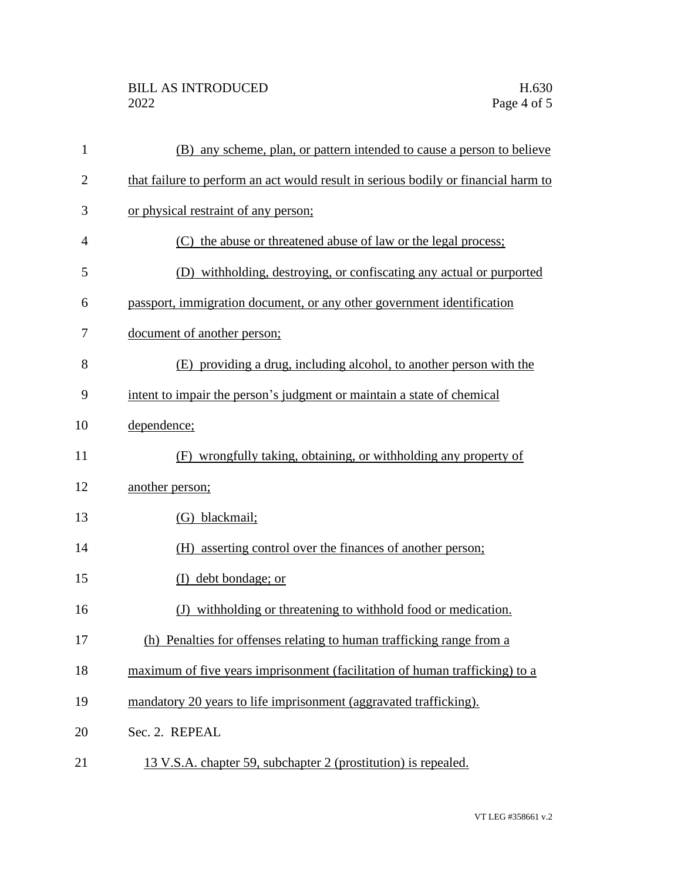## BILL AS INTRODUCED H.630<br>2022 Page 4 of 5

| $\mathbf{1}$   | (B) any scheme, plan, or pattern intended to cause a person to believe             |
|----------------|------------------------------------------------------------------------------------|
| $\overline{c}$ | that failure to perform an act would result in serious bodily or financial harm to |
| 3              | or physical restraint of any person;                                               |
| 4              | (C) the abuse or threatened abuse of law or the legal process;                     |
| 5              | (D) withholding, destroying, or confiscating any actual or purported               |
| 6              | passport, immigration document, or any other government identification             |
| 7              | document of another person;                                                        |
| 8              | (E) providing a drug, including alcohol, to another person with the                |
| 9              | intent to impair the person's judgment or maintain a state of chemical             |
| 10             | dependence;                                                                        |
| 11             | (F) wrongfully taking, obtaining, or withholding any property of                   |
| 12             | another person;                                                                    |
| 13             | (G) blackmail;                                                                     |
| 14             | (H) asserting control over the finances of another person;                         |
| 15             | debt bondage; or<br>(I)                                                            |
| 16             | (J) with holding or threatening to with hold food or medication.                   |
| 17             | (h) Penalties for offenses relating to human trafficking range from a              |
| 18             | maximum of five years imprisonment (facilitation of human trafficking) to a        |
| 19             | mandatory 20 years to life imprisonment (aggravated trafficking).                  |
| 20             | Sec. 2. REPEAL                                                                     |
| 21             | 13 V.S.A. chapter 59, subchapter 2 (prostitution) is repealed.                     |